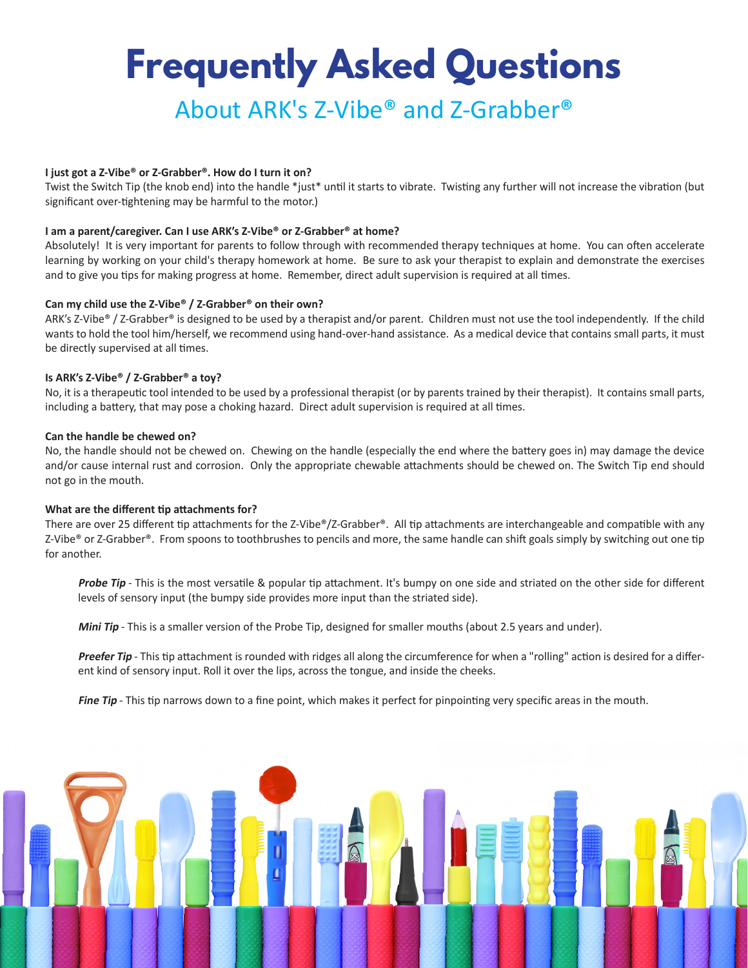# **Frequently Asked Questions** About ARK's Z-Vibe® and Z-Grabber®

## **I just got a Z-Vibe® or Z-Grabber®. How do I turn it on?**

Twist the Switch Tip (the knob end) into the handle \*just\* until it starts to vibrate. Twisting any further will not increase the vibration (but significant over-tightening may be harmful to the motor.)

#### **I am a parent/caregiver. Can I use ARK's Z-Vibe® or Z-Grabber® at home?**

Absolutely! It is very important for parents to follow through with recommended therapy techniques at home. You can often accelerate learning by working on your child's therapy homework at home. Be sure to ask your therapist to explain and demonstrate the exercises and to give you tips for making progress at home. Remember, direct adult supervision is required at all times.

#### **Can my child use the Z-Vibe® / Z-Grabber® on their own?**

ARK's Z-Vibe® / Z-Grabber® is designed to be used by a therapist and/or parent. Children must not use the tool independently. If the child wants to hold the tool him/herself, we recommend using hand-over-hand assistance. As a medical device that contains small parts, it must be directly supervised at all times.

### **Is ARK's Z-Vibe® / Z-Grabber® a toy?**

No, it is a therapeutic tool intended to be used by a professional therapist (or by parents trained by their therapist). It contains small parts, including a battery, that may pose a choking hazard. Direct adult supervision is required at all times.

#### **Can the handle be chewed on?**

No, the handle should not be chewed on. Chewing on the handle (especially the end where the battery goes in) may damage the device and/or cause internal rust and corrosion. Only the appropriate chewable attachments should be chewed on. The Switch Tip end should not go in the mouth.

#### **What are the different tip attachments for?**

There are over 25 different tip attachments for the Z-Vibe®/Z-Grabber®. All tip attachments are interchangeable and compatible with any Z-Vibe® or Z-Grabber®. From spoons to toothbrushes to pencils and more, the same handle can shift goals simply by switching out one tip for another.

**Probe Tip** - This is the most versatile & popular tip attachment. It's bumpy on one side and striated on the other side for different levels of sensory input (the bumpy side provides more input than the striated side).

**Mini Tip** - This is a smaller version of the Probe Tip, designed for smaller mouths (about 2.5 years and under).

Preefer Tip - This tip attachment is rounded with ridges all along the circumference for when a "rolling" action is desired for a different kind of sensory input. Roll it over the lips, across the tongue, and inside the cheeks.

Fine Tip - This tip narrows down to a fine point, which makes it perfect for pinpointing very specific areas in the mouth.

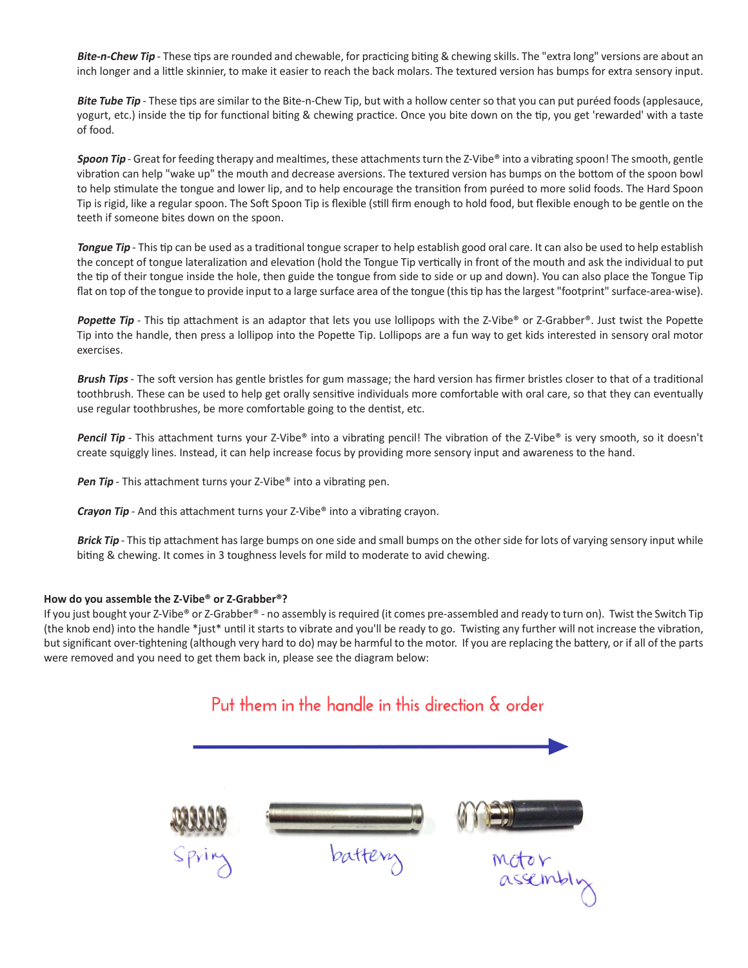**Bite-n-Chew Tip** - These tips are rounded and chewable, for practicing biting & chewing skills. The "extra long" versions are about an inch longer and a little skinnier, to make it easier to reach the back molars. The textured version has bumps for extra sensory input.

Bite Tube Tip - These tips are similar to the Bite-n-Chew Tip, but with a hollow center so that you can put puréed foods (applesauce, yogurt, etc.) inside the tip for functional biting & chewing practice. Once you bite down on the tip, you get 'rewarded' with a taste of food.

Spoon Tip - Great for feeding therapy and mealtimes, these attachments turn the Z-Vibe® into a vibrating spoon! The smooth, gentle vibration can help "wake up" the mouth and decrease aversions. The textured version has bumps on the bottom of the spoon bowl to help stimulate the tongue and lower lip, and to help encourage the transition from puréed to more solid foods. The Hard Spoon Tip is rigid, like a regular spoon. The Soft Spoon Tip is flexible (still firm enough to hold food, but flexible enough to be gentle on the teeth if someone bites down on the spoon.

**Tongue Tip** - This tip can be used as a traditional tongue scraper to help establish good oral care. It can also be used to help establish the concept of tongue lateralization and elevation (hold the Tongue Tip vertically in front of the mouth and ask the individual to put the tip of their tongue inside the hole, then guide the tongue from side to side or up and down). You can also place the Tongue Tip flat on top of the tongue to provide input to a large surface area of the tongue (this tip has the largest "footprint" surface-area-wise).

**Popette Tip** - This tip attachment is an adaptor that lets you use lollipops with the Z-Vibe® or Z-Grabber®. Just twist the Popette Tip into the handle, then press a lollipop into the Popette Tip. Lollipops are a fun way to get kids interested in sensory oral motor exercises.

**Brush Tips** - The soft version has gentle bristles for gum massage; the hard version has firmer bristles closer to that of a traditional toothbrush. These can be used to help get orally sensitive individuals more comfortable with oral care, so that they can eventually use regular toothbrushes, be more comfortable going to the dentist, etc.

**Pencil Tip** - This attachment turns your Z-Vibe<sup>®</sup> into a vibrating pencil! The vibration of the Z-Vibe® is very smooth, so it doesn't create squiggly lines. Instead, it can help increase focus by providing more sensory input and awareness to the hand.

**Pen Tip** - This attachment turns your Z-Vibe<sup>®</sup> into a vibrating pen.

**Crayon Tip** - And this attachment turns your Z-Vibe<sup>®</sup> into a vibrating crayon.

**Brick Tip** - This tip attachment has large bumps on one side and small bumps on the other side for lots of varying sensory input while biting & chewing. It comes in 3 toughness levels for mild to moderate to avid chewing.

#### **How do you assemble the Z-Vibe® or Z-Grabber®?**

If you just bought your Z-Vibe® or Z-Grabber® - no assembly is required (it comes pre-assembled and ready to turn on). Twist the Switch Tip (the knob end) into the handle \*just\* until it starts to vibrate and you'll be ready to go. Twisting any further will not increase the vibration, but significant over-tightening (although very hard to do) may be harmful to the motor. If you are replacing the battery, or if all of the parts were removed and you need to get them back in, please see the diagram below: